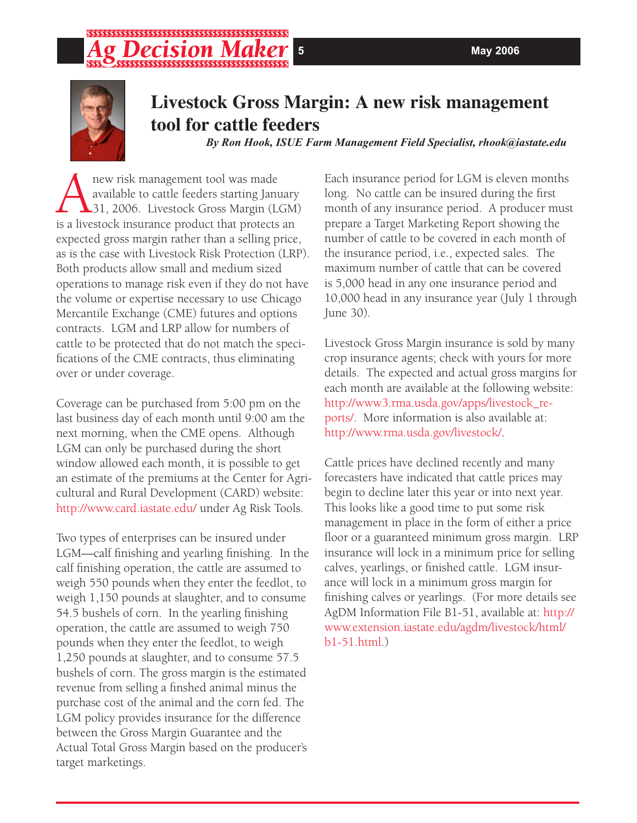# ,,,,,,,,,,,,,,,,,,,,,,,,,,



## **Livestock Gross Margin: A new risk management tool for cattle feeders**

*By Ron Hook, ISUE Farm Management Field Specialist, rhook@iastate.edu*

**ANEXER MANUS ENGLE MANUS MANUS MANUS ANGLE SET AN AREA**<br> **A** alivestock Livestock Gross Margin (Less a livestock insurance product that protects available to cattle feeders starting January 131, 2006. Livestock Gross Margin (LGM) is a livestock insurance product that protects an expected gross margin rather than a selling price, as is the case with Livestock Risk Protection (LRP). Both products allow small and medium sized operations to manage risk even if they do not have the volume or expertise necessary to use Chicago Mercantile Exchange (CME) futures and options contracts. LGM and LRP allow for numbers of cattle to be protected that do not match the specifications of the CME contracts, thus eliminating over or under coverage.

Coverage can be purchased from 5:00 pm on the last business day of each month until 9:00 am the next morning, when the CME opens. Although LGM can only be purchased during the short window allowed each month, it is possible to get an estimate of the premiums at the Center for Agricultural and Rural Development (CARD) website: http://www.card.iastate.edu/ under Ag Risk Tools.

Two types of enterprises can be insured under LGM—calf finishing and yearling finishing. In the calf finishing operation, the cattle are assumed to weigh 550 pounds when they enter the feedlot, to weigh 1,150 pounds at slaughter, and to consume 54.5 bushels of corn. In the yearling finishing operation, the cattle are assumed to weigh 750 pounds when they enter the feedlot, to weigh 1,250 pounds at slaughter, and to consume 57.5 bushels of corn. The gross margin is the estimated revenue from selling a finshed animal minus the purchase cost of the animal and the corn fed. The LGM policy provides insurance for the difference between the Gross Margin Guarantee and the Actual Total Gross Margin based on the producer's target marketings.

Each insurance period for LGM is eleven months long. No cattle can be insured during the first month of any insurance period. A producer must prepare a Target Marketing Report showing the number of cattle to be covered in each month of the insurance period, i.e., expected sales. The maximum number of cattle that can be covered is 5,000 head in any one insurance period and 10,000 head in any insurance year (July 1 through June 30).

Livestock Gross Margin insurance is sold by many crop insurance agents; check with yours for more details. The expected and actual gross margins for each month are available at the following website: http://www3.rma.usda.gov/apps/livestock\_reports/. More information is also available at: http://www.rma.usda.gov/livestock/.

Cattle prices have declined recently and many forecasters have indicated that cattle prices may begin to decline later this year or into next year. This looks like a good time to put some risk management in place in the form of either a price floor or a guaranteed minimum gross margin. LRP insurance will lock in a minimum price for selling calves, yearlings, or finished cattle. LGM insurance will lock in a minimum gross margin for finishing calves or yearlings. (For more details see AgDM Information File B1-51, available at: http:// www.extension.iastate.edu/agdm/livestock/html/ b1-51.html.)